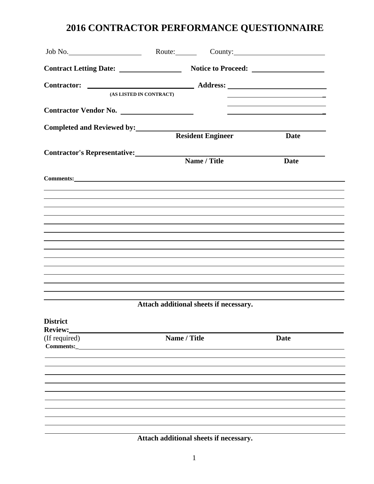|                                     | (AS LISTED IN CONTRACT)                |                          |                                                                                                                      |  |
|-------------------------------------|----------------------------------------|--------------------------|----------------------------------------------------------------------------------------------------------------------|--|
| Contractor Vendor No.               |                                        |                          | <u> 1989 - Johann John Stein, markin fan it ferstjer fan de ferstjer fan it ferstjer fan de ferstjer fan de fers</u> |  |
| Completed and Reviewed by:          |                                        | <b>Resident Engineer</b> | <b>Date</b>                                                                                                          |  |
| <b>Contractor's Representative:</b> |                                        | Name / Title             | <b>Date</b>                                                                                                          |  |
| Comments: <u>comments</u> :         |                                        |                          |                                                                                                                      |  |
|                                     |                                        |                          |                                                                                                                      |  |
|                                     |                                        |                          |                                                                                                                      |  |
|                                     |                                        |                          |                                                                                                                      |  |
|                                     |                                        |                          |                                                                                                                      |  |
|                                     |                                        |                          |                                                                                                                      |  |
|                                     | Attach additional sheets if necessary. |                          |                                                                                                                      |  |
| <b>District</b><br>Review:          |                                        |                          |                                                                                                                      |  |
| (If required)<br>Comments:_         | Name / Title                           |                          | <b>Date</b>                                                                                                          |  |
|                                     |                                        |                          |                                                                                                                      |  |
|                                     |                                        |                          |                                                                                                                      |  |
|                                     |                                        |                          |                                                                                                                      |  |
|                                     |                                        |                          |                                                                                                                      |  |

**Attach additional sheets if necessary.**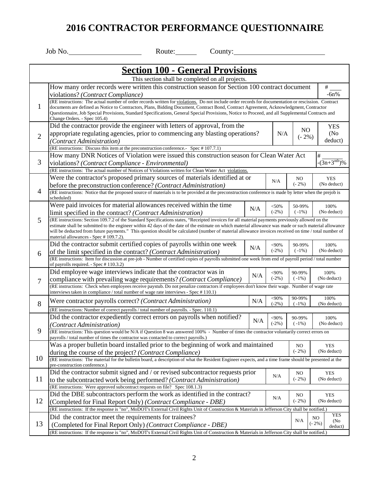|                | Job No.                                                                                                                                                                                                                                                                                                                                                                                                                                                                                                      | Route:                                           | County: |     |         |                |                           |
|----------------|--------------------------------------------------------------------------------------------------------------------------------------------------------------------------------------------------------------------------------------------------------------------------------------------------------------------------------------------------------------------------------------------------------------------------------------------------------------------------------------------------------------|--------------------------------------------------|---------|-----|---------|----------------|---------------------------|
|                |                                                                                                                                                                                                                                                                                                                                                                                                                                                                                                              |                                                  |         |     |         |                |                           |
|                |                                                                                                                                                                                                                                                                                                                                                                                                                                                                                                              | <b>Section 100 - General Provisions</b>          |         |     |         |                |                           |
|                |                                                                                                                                                                                                                                                                                                                                                                                                                                                                                                              | This section shall be completed on all projects. |         |     |         |                |                           |
|                | How many order records were written this construction season for Section 100 contract document                                                                                                                                                                                                                                                                                                                                                                                                               |                                                  |         |     |         |                | #                         |
|                | violations? (Contract Compliance)<br>(RE instructions: The actual number of order records written for violations. Do not include order records for documentation or rescission. Contract                                                                                                                                                                                                                                                                                                                     |                                                  |         |     |         |                | $-6n%$                    |
| 1              | documents are defined as Notice to Contractors, Plans, Bidding Document, Contract Bond, Contract Agreement, Acknowledgment, Contractor<br>Questionnaire, Job Special Provisions, Standard Specifications, General Special Provisions, Notice to Proceed, and all Supplemental Contracts and<br>Change Orders. - Spec 105.4)                                                                                                                                                                                  |                                                  |         |     |         |                |                           |
|                | Did the contractor provide the engineer with letters of approval, from the                                                                                                                                                                                                                                                                                                                                                                                                                                   |                                                  |         |     |         | N <sub>O</sub> | <b>YES</b>                |
| $\overline{2}$ | appropriate regulating agencies, prior to commencing any blasting operations?                                                                                                                                                                                                                                                                                                                                                                                                                                |                                                  |         |     | N/A     | $(-2%)$        | (No)                      |
|                | (Contract Administration)                                                                                                                                                                                                                                                                                                                                                                                                                                                                                    |                                                  |         |     |         |                | deduct)                   |
|                | (RE instructions: Discuss this item at the preconstruction conference. Spec #107.7.1)<br>How many DNR Notices of Violation were issued this construction season for Clean Water Act                                                                                                                                                                                                                                                                                                                          |                                                  |         |     |         |                |                           |
| 3              | violations? (Contract Compliance - Environmental)                                                                                                                                                                                                                                                                                                                                                                                                                                                            |                                                  |         |     |         |                | #<br>$-(3n+3nth)\%$       |
|                | (RE instructions: The actual number of Notices of Violations written for Clean Water Act violations.                                                                                                                                                                                                                                                                                                                                                                                                         |                                                  |         |     |         |                |                           |
|                | Were the contractor's proposed primary sources of materials identified at or                                                                                                                                                                                                                                                                                                                                                                                                                                 |                                                  |         |     |         | NO.            | <b>YES</b>                |
|                | before the preconstruction conference? (Contract Administration)                                                                                                                                                                                                                                                                                                                                                                                                                                             |                                                  |         |     | N/A     | $(-2%)$        | (No deduct)               |
| $\overline{4}$ | (RE instructions: Notice that the proposed source of materials is to be provided at the preconstruction conference is made by letter when the prejob is<br>scheduled)                                                                                                                                                                                                                                                                                                                                        |                                                  |         |     |         |                |                           |
|                | Were paid invoices for material allowances received within the time                                                                                                                                                                                                                                                                                                                                                                                                                                          |                                                  |         | N/A | $<$ 50% | 50-99%         | 100%                      |
|                | limit specified in the contract? (Contract Administration)                                                                                                                                                                                                                                                                                                                                                                                                                                                   |                                                  |         |     | $(-2%)$ | $(-1%)$        | (No deduct)               |
| 5              | (RE instructions: Section 109.7.2 of the Standard Specifications states, "Receipted invoices for all material payments previously allowed on the<br>estimate shall be submitted to the engineer within 42 days of the date of the estimate on which material allowance was made or such material allowance<br>will be deducted from future payments." This question should be calculated (number of material allowance invoices received on time / total number of<br>material allowances - Spec # 109.7.2). |                                                  |         |     |         |                |                           |
|                | Did the contractor submit certified copies of payrolls within one week                                                                                                                                                                                                                                                                                                                                                                                                                                       |                                                  |         | N/A | <90%    | 90-99%         | 100%                      |
| 6              | of the limit specified in the contract? (Contract Administration)                                                                                                                                                                                                                                                                                                                                                                                                                                            |                                                  |         |     | $(-2%)$ | $(-1%)$        | (No deduct)               |
|                | (RE instructions: Item for discussion at pre-job - Number of certified copies of payrolls submitted one week from end of payroll period / total number<br>of payrolls required. - Spec # 110.3.2)                                                                                                                                                                                                                                                                                                            |                                                  |         |     |         |                |                           |
|                | Did employee wage interviews indicate that the contractor was in                                                                                                                                                                                                                                                                                                                                                                                                                                             |                                                  |         | N/A | <90%    | 90-99%         | 100%                      |
| 7              | compliance with prevailing wage requirements? (Contract Compliance)<br>(RE instructions: Check when employees receive paystub. Do not penalize contractors if employees don't know their wage. Number of wage rate                                                                                                                                                                                                                                                                                           |                                                  |         |     | $(-2%)$ | $(-1%)$        | (No deduct)               |
|                | interviews taken in compliance / total number of wage rate interviews - Spec # 110.1)                                                                                                                                                                                                                                                                                                                                                                                                                        |                                                  |         |     |         |                |                           |
|                | Were contractor payrolls correct? (Contract Administration)                                                                                                                                                                                                                                                                                                                                                                                                                                                  |                                                  |         | N/A | <90%    | 90-99%         | 100%                      |
| 8              | (RE instructions: Number of correct payrolls / total number of payrolls. - Spec. 110.1)                                                                                                                                                                                                                                                                                                                                                                                                                      |                                                  |         |     | $(-2%)$ | $(-1%)$        | (No deduct)               |
|                | Did the contractor expediently correct errors on payrolls when notified?                                                                                                                                                                                                                                                                                                                                                                                                                                     |                                                  |         |     | $<$ 90% | 90-99%         | 100%                      |
|                | (Contract Administration)                                                                                                                                                                                                                                                                                                                                                                                                                                                                                    |                                                  |         | N/A | $(-2%)$ | $(-1\%)$       | (No deduct)               |
| 9              | (RE instructions: This question would be N/A if Question 8 was answered 100% - Number of times the contractor voluntarily correct errors on<br>payrolls / total number of times the contractor was contacted to correct payrolls.)                                                                                                                                                                                                                                                                           |                                                  |         |     |         |                |                           |
|                | Was a proper bulletin board installed prior to the beginning of work and maintained                                                                                                                                                                                                                                                                                                                                                                                                                          |                                                  |         |     |         | NO.            | <b>YES</b>                |
|                | during the course of the project? (Contract Compliance)                                                                                                                                                                                                                                                                                                                                                                                                                                                      |                                                  |         |     |         | $(-2%)$        | (No deduct)               |
| 10             | (RE instructions: The material for the bulletin board, a description of what the Resident Engineer expects, and a time frame should be presented at the<br>pre-construction conference.)                                                                                                                                                                                                                                                                                                                     |                                                  |         |     |         |                |                           |
|                | Did the contractor submit signed and / or revised subcontractor requests prior                                                                                                                                                                                                                                                                                                                                                                                                                               |                                                  |         |     | N/A     | NO.            | YES                       |
| 11             | to the subcontracted work being performed? (Contract Administration)                                                                                                                                                                                                                                                                                                                                                                                                                                         |                                                  |         |     |         | $(-2\%)$       | (No deduct)               |
|                | (RE instructions: Were approved subcontract requests on file? Spec 108.1.3)<br>Did the DBE subcontractors perform the work as identified in the contract?                                                                                                                                                                                                                                                                                                                                                    |                                                  |         |     |         |                |                           |
| 12             | (Completed for Final Report Only) (Contract Compliance - DBE)                                                                                                                                                                                                                                                                                                                                                                                                                                                |                                                  |         |     | N/A     | NO.<br>$(-2%)$ | YES<br>(No deduct)        |
|                | (RE instructions: If the response is "no", MoDOT's External Civil Rights Unit of Construction & Materials in Jefferson City shall be notified.)                                                                                                                                                                                                                                                                                                                                                              |                                                  |         |     |         |                |                           |
|                | Did the contractor meet the requirements for trainees?                                                                                                                                                                                                                                                                                                                                                                                                                                                       |                                                  |         |     |         |                | YES<br>NO.                |
| 13             | (Completed for Final Report Only) (Contract Compliance - DBE)                                                                                                                                                                                                                                                                                                                                                                                                                                                |                                                  |         |     |         | N/A            | (No<br>$(-2%)$<br>deduct) |
|                | (RE instructions: If the response is "no", MoDOT's External Civil Rights Unit of Construction & Materials in Jefferson City shall be notified.)                                                                                                                                                                                                                                                                                                                                                              |                                                  |         |     |         |                |                           |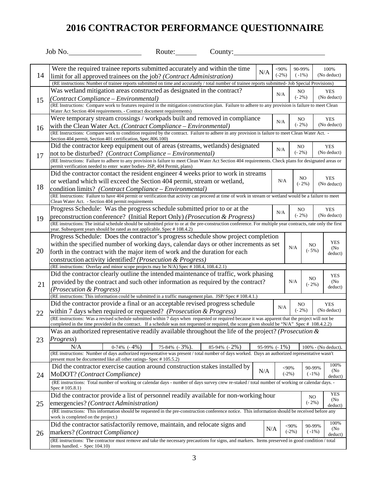|    | Job No.                            |                                                                                         | Route:        | County:                                                                                                                                                                     |     |                   |                            |                |                           |
|----|------------------------------------|-----------------------------------------------------------------------------------------|---------------|-----------------------------------------------------------------------------------------------------------------------------------------------------------------------------|-----|-------------------|----------------------------|----------------|---------------------------|
|    |                                    |                                                                                         |               |                                                                                                                                                                             |     |                   |                            |                |                           |
|    |                                    |                                                                                         |               | Were the required trainee reports submitted accurately and within the time                                                                                                  | N/A | $<$ 90%           | 90-99%                     |                | 100%                      |
| 14 |                                    | limit for all approved trainees on the job? (Contract Administration)                   |               |                                                                                                                                                                             |     | $(-2%)$           | $(-1%)$                    |                | (No deduct)               |
|    |                                    |                                                                                         |               | (RE instructions: Number of trainee reports submitted on time and accurately / total number of trainee reports submitted- Job Special Provisions)                           |     |                   |                            |                |                           |
|    |                                    | Was wetland mitigation areas constructed as designated in the contract?                 |               |                                                                                                                                                                             |     | N/A               | NO.<br>$(-2%)$             |                | <b>YES</b>                |
| 15 |                                    | (Contract Compliance – Environmental)                                                   |               | (RE Instructions: Compare work to features required in the mitigation construction plan. Failure to adhere to any provision is failure to meet Clean                        |     |                   |                            |                | (No deduct)               |
|    |                                    | Water Act Section 404 requirements. - Contract document requirements)                   |               |                                                                                                                                                                             |     |                   |                            |                |                           |
|    |                                    |                                                                                         |               | Were temporary stream crossings / workpads built and removed in compliance                                                                                                  |     | N/A               | NO                         |                | <b>YES</b>                |
| 16 |                                    | with the Clean Water Act. (Contract Compliance – Environmental)                         |               |                                                                                                                                                                             |     |                   | $(-2%)$                    |                | (No deduct)               |
|    |                                    |                                                                                         |               | (RE Instructions: Compare work to condition required by the contract. Failure to adhere in any provision is failure to meet Clean Water Act. -                              |     |                   |                            |                |                           |
|    |                                    | Section 404 permit, Section 401 certification, Spec.806.100)                            |               | Did the contractor keep equipment out of areas (streams, wetlands) designated                                                                                               |     |                   |                            |                | <b>YES</b>                |
|    |                                    | not to be disturbed? (Contract Compliance – Environmental)                              |               |                                                                                                                                                                             |     | N/A               | NO<br>$(-2%)$              |                | (No deduct)               |
| 17 |                                    |                                                                                         |               | (RE Instructions: Failure to adhere to any provision is failure to meet Clean Water Act Section 404 requirements. Check plans for designated areas or                       |     |                   |                            |                |                           |
|    |                                    | permit verification needed to enter water bodies- JSP, 404 Permit, plans)               |               |                                                                                                                                                                             |     |                   |                            |                |                           |
|    |                                    |                                                                                         |               | Did the contractor contact the resident engineer 4 weeks prior to work in streams                                                                                           |     |                   |                            | NO.            | <b>YES</b>                |
|    |                                    | or wetland which will exceed the Section 404 permit, stream or wetland,                 |               |                                                                                                                                                                             |     | N/A               |                            | $(-2%)$        | (No deduct)               |
| 18 |                                    | condition limits? (Contract Compliance - Environmental)                                 |               |                                                                                                                                                                             |     |                   |                            |                |                           |
|    |                                    | Clean Water Act. - Section 404 permit requirements                                      |               | (RE Instructions: Failure to have 404 permit or verification that activity can proceed at time of work in stream or wetland would be a failure to meet                      |     |                   |                            |                |                           |
|    |                                    |                                                                                         |               | Progress Schedule: Was the progress schedule submitted prior to or at the                                                                                                   |     |                   | NO                         |                | <b>YES</b>                |
| 19 |                                    |                                                                                         |               | preconstruction conference? (Initial Report Only) (Prosecution & Progress)                                                                                                  |     | N/A               | $(-2\%)$                   |                | (No deduct)               |
|    |                                    |                                                                                         |               | (RE instructions: The initial schedule should be submitted prior to or at the pre-construction conference. For multiple year contracts, rate only the first                 |     |                   |                            |                |                           |
|    |                                    | year. Subsequent years should be rated as not applicable. Spec # 108.4.2)               |               |                                                                                                                                                                             |     |                   |                            |                |                           |
|    |                                    |                                                                                         |               | Progress Schedule: Does the contractor's progress schedule show project completion<br>within the specified number of working days, calendar days or other increments as set |     |                   |                            |                | <b>YES</b>                |
| 20 |                                    |                                                                                         |               | forth in the contract with the major item of work and the duration for each                                                                                                 |     |                   | N/A                        | NO.<br>$(-5%)$ | (No)                      |
|    |                                    | construction activity identified? (Prosecution & Progress)                              |               |                                                                                                                                                                             |     |                   |                            |                | deduct)                   |
|    |                                    | (RE instructions: Overlay and minor scope projects may be N/A) Spec # 108.4, 108.4.2.1) |               |                                                                                                                                                                             |     |                   |                            |                |                           |
|    |                                    |                                                                                         |               | Did the contractor clearly outline the intended maintenance of traffic, work phasing                                                                                        |     |                   |                            |                | <b>YES</b>                |
| 21 |                                    |                                                                                         |               | provided by the contract and such other information as required by the contract?                                                                                            |     |                   | N/A                        | NO.<br>$(-2%)$ | (N <sub>0</sub> )         |
|    | (Prosecution & Progress)           |                                                                                         |               |                                                                                                                                                                             |     |                   |                            |                | deduct)                   |
|    |                                    |                                                                                         |               | (RE instructions: This information could be submitted in a traffic management plan. JSP/Spec #108.4.1.)                                                                     |     |                   |                            |                |                           |
|    |                                    |                                                                                         |               | Did the contractor provide a final or an acceptable revised progress schedule                                                                                               |     | N/A               | N <sub>O</sub><br>$(-2\%)$ |                | <b>YES</b><br>(No deduct) |
| 22 |                                    | within 7 days when required or requested? (Prosecution & Progress)                      |               | (RE instructions: Was a revised schedule submitted within 7 days when requested or required because it was apparent that the project will not be                            |     |                   |                            |                |                           |
|    |                                    |                                                                                         |               | completed in the time provided in the contract. If a schedule was not requested or required, the score given should be "N/A" Spec # 108.4.2.2)                              |     |                   |                            |                |                           |
|    |                                    |                                                                                         |               | Was an authorized representative readily available throughout the life of the project? ( <i>Prosecution &amp;</i>                                                           |     |                   |                            |                |                           |
| 23 | Progress)                          |                                                                                         |               |                                                                                                                                                                             |     |                   |                            |                |                           |
|    | N/A                                | $0-74\%$ $(-4\%)$                                                                       | 75-84% (-3%). | $85-94\%$ ( $-2\%$ )                                                                                                                                                        |     | $95-99\%$ (- 1\%) |                            |                | 100% - (No deduct).       |
|    |                                    | present must be documented like all other ratings- Spec #105.5.2)                       |               | (RE instructions: Number of days authorized representative was present / total number of days worked. Days an authorized representative wasn't                              |     |                   |                            |                |                           |
|    |                                    |                                                                                         |               | Did the contractor exercise caution around construction stakes installed by                                                                                                 |     |                   | $<$ 90%                    | 90-99%         | 100%                      |
| 24 |                                    | MoDOT? (Contract Compliance)                                                            |               |                                                                                                                                                                             | N/A |                   | $(-2%)$                    | $(-1%)$        | (No)<br>deduct)           |
|    |                                    |                                                                                         |               | (RE instructions: Total number of working or calendar days - number of days survey crew re-staked / total number of working or calendar days. -                             |     |                   |                            |                |                           |
|    | Spec # 105.8.1)                    |                                                                                         |               |                                                                                                                                                                             |     |                   |                            |                | <b>YES</b>                |
|    |                                    |                                                                                         |               | Did the contractor provide a list of personnel readily available for non-working hour                                                                                       |     |                   |                            | NO.            | (No)                      |
| 25 |                                    | emergencies? (Contract Administration)                                                  |               |                                                                                                                                                                             |     |                   |                            | $(-2%)$        | deduct)                   |
|    | work is completed on the project.) |                                                                                         |               | (RE instructions: This information should be requested in the pre-construction conference notice. This information should be received before any                            |     |                   |                            |                |                           |
|    |                                    | Did the contractor satisfactorily remove, maintain, and relocate signs and              |               |                                                                                                                                                                             |     |                   | <90%                       | 90-99%         | 100%                      |
| 26 |                                    | markers? (Contract Compliance)                                                          |               |                                                                                                                                                                             | N/A |                   | $(-2%)$                    | $(-1%)$        | (No)<br>deduct)           |
|    |                                    |                                                                                         |               | (RE instructions: The contractor must remove and take the necessary precautions for signs, and markers. Items preserved in good condition / total                           |     |                   |                            |                |                           |
|    | items handled. - Spec 104.10)      |                                                                                         |               |                                                                                                                                                                             |     |                   |                            |                |                           |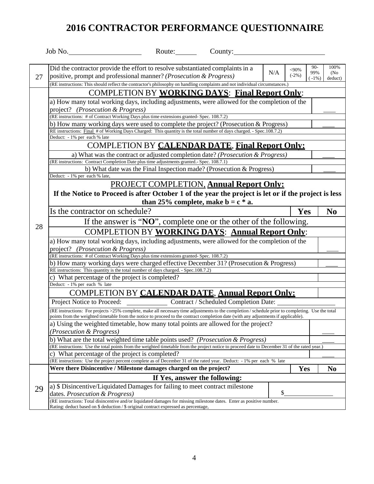|    | Job No.<br>County: $\_\_\_\_\_\_\_\$<br>Route:                                                                                                                                                                                                                                           |     |         |              |                              |
|----|------------------------------------------------------------------------------------------------------------------------------------------------------------------------------------------------------------------------------------------------------------------------------------------|-----|---------|--------------|------------------------------|
|    |                                                                                                                                                                                                                                                                                          |     |         |              |                              |
|    | Did the contractor provide the effort to resolve substantiated complaints in a                                                                                                                                                                                                           |     | $<$ 90% | $90-$<br>99% | 100%                         |
| 27 | positive, prompt and professional manner? (Prosecution & Progress)                                                                                                                                                                                                                       | N/A | $(-2%)$ | $-1\%$ )     | (N <sub>0</sub> )<br>deduct) |
|    | (RE instructions: This should reflect the contractor's philosophy on handling complaints and not individual circumstances.)                                                                                                                                                              |     |         |              |                              |
|    | <b>COMPLETION BY WORKING DAYS: Final Report Only:</b>                                                                                                                                                                                                                                    |     |         |              |                              |
|    | a) How many total working days, including adjustments, were allowed for the completion of the                                                                                                                                                                                            |     |         |              |                              |
|    | project? (Prosecution & Progress)                                                                                                                                                                                                                                                        |     |         |              |                              |
|    | (RE instructions: # of Contract Working Days plus time extensions granted- Spec. 108.7.2)                                                                                                                                                                                                |     |         |              |                              |
|    | b) How many working days were used to complete the project? (Prosecution & Progress)                                                                                                                                                                                                     |     |         |              |                              |
|    | RE instructions: Final # of Working Days Charged: This quantity is the total number of days charged. - Spec.108.7.2)                                                                                                                                                                     |     |         |              |                              |
|    | Deduct: - 1% per each % late                                                                                                                                                                                                                                                             |     |         |              |                              |
|    | <b>COMPLETION BY CALENDAR DATE, Final Report Only:</b>                                                                                                                                                                                                                                   |     |         |              |                              |
|    | a) What was the contract or adjusted completion date? (Prosecution & Progress)                                                                                                                                                                                                           |     |         |              |                              |
|    | (RE instructions: Contract Completion Date plus time adjustments granted.- Spec. 108.7.1)                                                                                                                                                                                                |     |         |              |                              |
|    | b) What date was the Final Inspection made? (Prosecution & Progress)                                                                                                                                                                                                                     |     |         |              |                              |
|    | Deduct: - 1% per each % late,                                                                                                                                                                                                                                                            |     |         |              |                              |
|    | <b>PROJECT COMPLETION, Annual Report Only:</b>                                                                                                                                                                                                                                           |     |         |              |                              |
|    | If the Notice to Proceed is after October 1 of the year the project is let or if the project is less                                                                                                                                                                                     |     |         |              |                              |
|    | than 25% complete, make $b = c * a$ .                                                                                                                                                                                                                                                    |     |         |              |                              |
|    | Is the contractor on schedule?                                                                                                                                                                                                                                                           |     | Yes     |              | N <sub>0</sub>               |
|    | If the answer is "NO", complete one or the other of the following.                                                                                                                                                                                                                       |     |         |              |                              |
| 28 | <b>COMPLETION BY WORKING DAYS: Annual Report Only:</b>                                                                                                                                                                                                                                   |     |         |              |                              |
|    | a) How many total working days, including adjustments, were allowed for the completion of the                                                                                                                                                                                            |     |         |              |                              |
|    | project? (Prosecution & Progress)                                                                                                                                                                                                                                                        |     |         |              |                              |
|    | (RE instructions: # of Contract Working Days plus time extensions granted- Spec. 108.7.2)                                                                                                                                                                                                |     |         |              |                              |
|    | b) How many working days were charged effective December 31? (Prosecution & Progress)                                                                                                                                                                                                    |     |         |              |                              |
|    | RE instructions: This quantity is the total number of days charged. - Spec.108.7.2)                                                                                                                                                                                                      |     |         |              |                              |
|    | c) What percentage of the project is completed?                                                                                                                                                                                                                                          |     |         |              |                              |
|    | Deduct: - 1% per each % late                                                                                                                                                                                                                                                             |     |         |              |                              |
|    | COMPLETION BY CALENDAR DATE, Annual Report Only:                                                                                                                                                                                                                                         |     |         |              |                              |
|    | Project Notice to Proceed:<br>Contract / Scheduled Completion Date:                                                                                                                                                                                                                      |     |         |              |                              |
|    | (RE instructions: For projects >25% complete, make all necessary time adjustments to the completion / schedule prior to completing. Use the total<br>points from the weighted timetable from the notice to proceed to the contract completion date (with any adjustments if applicable). |     |         |              |                              |
|    | a) Using the weighted timetable, how many total points are allowed for the project?                                                                                                                                                                                                      |     |         |              |                              |
|    | (Prosecution & Progress)                                                                                                                                                                                                                                                                 |     |         |              |                              |
|    | b) What are the total weighted time table points used? (Prosecution & Progress)                                                                                                                                                                                                          |     |         |              |                              |
|    | (RE instructions: Use the total points from the weighted timetable from the project notice to proceed date to December 31 of the rated year.)                                                                                                                                            |     |         |              |                              |
|    | c) What percentage of the project is completed?                                                                                                                                                                                                                                          |     |         |              |                              |
|    | (RE instructions: Use the project percent complete as of December 31 of the rated year. Deduct: - 1% per each % late                                                                                                                                                                     |     |         |              |                              |
|    | Were there Disincentive / Milestone damages charged on the project?                                                                                                                                                                                                                      |     | Yes     |              | N <sub>0</sub>               |
|    | If Yes, answer the following:                                                                                                                                                                                                                                                            |     |         |              |                              |
|    |                                                                                                                                                                                                                                                                                          |     |         |              |                              |
|    | a) \$ Disincentive/Liquidated Damages for failing to meet contract milestone                                                                                                                                                                                                             |     |         |              |                              |
| 29 | dates. Prosecution & Progress)<br>(RE instructions: Total disincentive and/or liquidated damages for missing milestone dates. Enter as positive number.                                                                                                                                  | \$  |         |              |                              |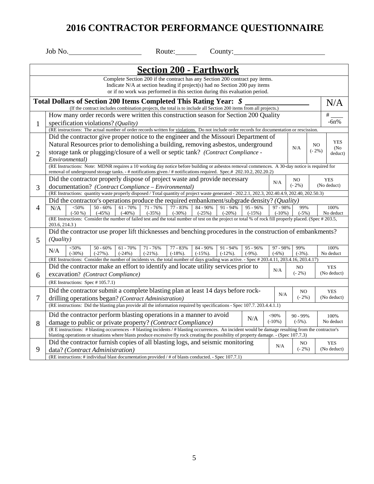|                | Job No.<br>Route:<br>County:                                                                                                                                                                                                                                                                                                                               |                               |
|----------------|------------------------------------------------------------------------------------------------------------------------------------------------------------------------------------------------------------------------------------------------------------------------------------------------------------------------------------------------------------|-------------------------------|
|                | <b>Section 200 - Earthwork</b>                                                                                                                                                                                                                                                                                                                             |                               |
|                | Complete Section 200 if the contract has any Section 200 contract pay items.<br>Indicate N/A at section heading if project(s) had no Section 200 pay items<br>or if no work was performed in this section during this evaluation period.                                                                                                                   |                               |
|                | Total Dollars of Section 200 Items Completed This Rating Year: \$<br>(If the contract includes combination projects, the total is to include all Section 200 items from all projects.)                                                                                                                                                                     | N/A                           |
| $\mathbf{1}$   | How many order records were written this construction season for Section 200 Quality<br>specification violations? (Quality)                                                                                                                                                                                                                                | #<br>$-6n%$                   |
|                | (RE instructions: The actual number of order records written for violations. Do not include order records for documentation or rescission.<br>Did the contractor give proper notice to the engineer and the Missouri Department of                                                                                                                         |                               |
| $\overline{2}$ | Natural Resources prior to demolishing a building, removing asbestos, underground<br>NO<br>N/A<br>$(-2%)$<br>storage tank or plugging/closure of a well or septic tank? (Contract Compliance -<br>Environmental)                                                                                                                                           | <b>YES</b><br>(No)<br>deduct) |
|                | (RE Instructions: Note: MDNR requires a 10 working day notice before building or asbestos removal commences. A 30-day notice is required for                                                                                                                                                                                                               |                               |
| 3              | removal of underground storage tanks. - # notifications given / # notifications required. Spec.# 202.10.2, 202.20.2)<br>Did the contractor properly dispose of project waste and provide necessary<br>N <sub>O</sub><br>N/A<br>$(-2\%)$<br>documentation? (Contract Compliance - Environmental)                                                            | <b>YES</b><br>(No deduct)     |
|                | (RE Instructions: quantity waste properly disposed / Total quantity of project waste generated - 202.2.1, 202.3, 202.40.4.9, 202.40, 202.50.3)                                                                                                                                                                                                             |                               |
| 4              | Did the contractor's operations produce the required embankment/subgrade density? (Quality)<br>$<$ 50%<br>$50 - 60%$<br>$61 - 70%$<br>$71 - 76%$<br>77 - 83%<br>84 - 90%<br>$91 - 94%$<br>$95 - 96%$<br>97 - 98%<br>99%<br>N/A<br>$(-50\%)$<br>$(-45%)$<br>$(-40\%)$<br>$(-35%)$<br>$(-30\%)$<br>$(-25%)$<br>$(-20\%)$<br>$(-15%)$<br>$(-10\%)$<br>$(-5%)$ | 100%<br>No deduct             |
|                | (RE Instructions: Consider the number of failed test and the total number of test on the project or total % of rock fill properly placed. (Spec # 203.5,<br>203.6, 214.3)                                                                                                                                                                                  |                               |
| 5              | Did the contractor use proper lift thicknesses and benching procedures in the construction of embankments?<br><i>(Quality)</i>                                                                                                                                                                                                                             |                               |
|                | $50 - 60%$<br>$61 - 70%$<br>71 - 76%<br>77 - 83%<br>84 - 90%<br>$91 - 94%$<br>$<$ 50%<br>95 - 96%<br>97 - 98%<br>99%<br>N/A<br>$(-30\%)$<br>$(-27\%)$ .<br>$(-24%)$<br>$(-21\%)$ .<br>$(-18\%)$ .<br>$(-15\%)$ .<br>$(-12\%)$ .<br>$(-9\%)$ .<br>$(-3%)$ .<br>$(-6%)$                                                                                      | 100%<br>No deduct             |
|                | (RE Instructions: Consider the number of incidents vs. the total number of days grading was active. - Spec #203.4.11, 203.4.16, 203.4.17)<br>Did the contractor make an effort to identify and locate utility services prior to<br>NO.                                                                                                                     |                               |
| 6              | N/A<br>$(-2%)$<br>excavation? (Contract Compliance)                                                                                                                                                                                                                                                                                                        | <b>YES</b><br>(No deduct)     |
|                | (RE Instructions: Spec # 105.7.1)                                                                                                                                                                                                                                                                                                                          |                               |
| 7              | Did the contractor submit a complete blasting plan at least 14 days before rock-<br>NO<br>N/A<br>$(-2%)$<br>drilling operations began? (Contract Administration)                                                                                                                                                                                           | <b>YES</b><br>(No deduct)     |
|                | (RE instructions: Did the blasting plan provide all the information required by specifications - Spec 107.7. 203.4.4.1.1)                                                                                                                                                                                                                                  |                               |
| 8              | Did the contractor perform blasting operations in a manner to avoid<br>$<$ 90%<br>$90 - 99\%$<br>N/A<br>$(-10\%)$<br>$(-5\%)$ .<br>damage to public or private property? (Contract Compliance)                                                                                                                                                             | 100%<br>No deduct             |
|                | (R E instructions: # blasting occurrences - # blasting incidents / # blasting occurrences. An incident would be damage resulting from the contractor's<br>blasting operations or situations where blasts produce excessive fly rock creating the possibility of property damage. - (Spec 107.7.3)                                                          |                               |
| 9              | Did the contractor furnish copies of all blasting logs, and seismic monitoring<br>NO<br>N/A<br>$(-2%)$<br>data? (Contract Administration)                                                                                                                                                                                                                  | <b>YES</b><br>(No deduct)     |
|                | (RE instructions: # individual blast documentation provided / # of blasts conducted. - Spec 107.7.1)                                                                                                                                                                                                                                                       |                               |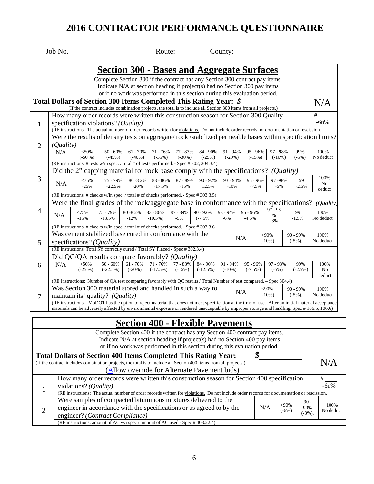|                | Job No.   |                                    |                                                                                                                                                                                        |                         | Route:                 |                      |                      | County: $\_\_\_\_\_\_\_\$ |                        |                        |                       |                |                                                                                                                                                     |
|----------------|-----------|------------------------------------|----------------------------------------------------------------------------------------------------------------------------------------------------------------------------------------|-------------------------|------------------------|----------------------|----------------------|---------------------------|------------------------|------------------------|-----------------------|----------------|-----------------------------------------------------------------------------------------------------------------------------------------------------|
|                |           |                                    | <u><b>Section 300 - Bases and Aggregate Surfaces</b></u>                                                                                                                               |                         |                        |                      |                      |                           |                        |                        |                       |                |                                                                                                                                                     |
|                |           |                                    | Complete Section 300 if the contract has any Section 300 contract pay items.                                                                                                           |                         |                        |                      |                      |                           |                        |                        |                       |                |                                                                                                                                                     |
|                |           |                                    | Indicate N/A at section heading if project(s) had no Section 300 pay items                                                                                                             |                         |                        |                      |                      |                           |                        |                        |                       |                |                                                                                                                                                     |
|                |           |                                    | or if no work was performed in this section during this evaluation period.                                                                                                             |                         |                        |                      |                      |                           |                        |                        |                       |                |                                                                                                                                                     |
|                |           |                                    | Total Dollars of Section 300 Items Completed This Rating Year: \$<br>(If the contract includes combination projects, the total is to include all Section 300 items from all projects.) |                         |                        |                      |                      |                           |                        |                        |                       |                | N/A                                                                                                                                                 |
|                |           |                                    | How many order records were written this construction season for Section 300 Quality                                                                                                   |                         |                        |                      |                      |                           |                        |                        |                       |                | #                                                                                                                                                   |
| $\mathbf{1}$   |           |                                    | specification violations? ( <i>Quality</i> )                                                                                                                                           |                         |                        |                      |                      |                           |                        |                        |                       |                | $-6n%$                                                                                                                                              |
|                |           |                                    | (RE instructions: The actual number of order records written for violations. Do not include order records for documentation or rescission.                                             |                         |                        |                      |                      |                           |                        |                        |                       |                |                                                                                                                                                     |
|                |           |                                    |                                                                                                                                                                                        |                         |                        |                      |                      |                           |                        |                        |                       |                | Were the results of density tests on aggregate/rock/stabilized permeable bases within specification limits?                                         |
| $\overline{2}$ | (Quality) |                                    | $50 - 60%$                                                                                                                                                                             |                         |                        |                      |                      |                           |                        |                        |                       |                |                                                                                                                                                     |
|                | N/A       | < 50%<br>$(-50%$                   | $(-45%)$                                                                                                                                                                               | $61 - 70%$<br>$(-40\%)$ | $71 - 76%$<br>$(-35%)$ | 77 - 83%<br>$(-30%)$ | 84 - 90%<br>$(-25%)$ |                           | $91 - 94%$<br>$(-20%)$ | $95 - 96%$<br>$(-15%)$ | 97 - 98%<br>$(-10\%)$ | 99%<br>$(-5%)$ | 100%<br>No deduct                                                                                                                                   |
|                |           |                                    | (RE instructions: # tests w/in spec. / total # of tests performed. - Spec # 302, 304.3.4)                                                                                              |                         |                        |                      |                      |                           |                        |                        |                       |                |                                                                                                                                                     |
|                |           |                                    | Did the 2" capping material for rock base comply with the specifications?                                                                                                              |                         |                        |                      |                      |                           |                        |                        | (Quality)             |                |                                                                                                                                                     |
| 3              |           | <75%                               | 75 - 79%                                                                                                                                                                               | 80 - 82%                | 83 - 86%               | 87 - 89%             | $90 - 92%$           |                           | 93 - 94%               | $95 - 96%$             | 97-98%                | 99             | 100%                                                                                                                                                |
|                | N/A       | $-25%$                             | $-22.5%$                                                                                                                                                                               | $-20%$                  | $-17.5%$               | $-15%$               | 12.5%                |                           | $-10%$                 | $-7.5%$                | $-5%$                 | $-2.5%$        | No<br>deduct                                                                                                                                        |
|                |           |                                    | (RE instructions: # checks w/in spec. / total # of checks performed. - Spec # 303.3.5)                                                                                                 |                         |                        |                      |                      |                           |                        |                        |                       |                |                                                                                                                                                     |
|                |           |                                    | Were the final grades of the rock/aggregate base in conformance with the specifications?                                                                                               |                         |                        |                      |                      |                           |                        |                        |                       |                | (Quality)                                                                                                                                           |
| $\overline{4}$ |           | <75%                               | 75 - 79%                                                                                                                                                                               | 80 - 82%                | 83 - 86%               | 87 - 89%             | $90 - 92%$           | $93 - 94%$                |                        | 95 - 96%               | $97 - 98$             | 99             | 100%                                                                                                                                                |
|                | N/A       | $-15%$                             | $-13.5%$                                                                                                                                                                               | $-12%$                  | $-10.5\%$ )            | $-9%$                | $(-7.5%$             | $-6%$                     |                        | $-4.5%$                | $\%$<br>$-3%$         | $-1.5%$        | No deduct                                                                                                                                           |
|                |           |                                    | (RE instructions: # checks w/in spec. / total # of checks performed. - Spec # 303.3.6                                                                                                  |                         |                        |                      |                      |                           |                        |                        |                       |                |                                                                                                                                                     |
|                |           |                                    | Was cement stabilized base cured in conformance with the                                                                                                                               |                         |                        |                      |                      |                           | N/A                    |                        | $<$ 90%               | $90 - 99%$     | 100%                                                                                                                                                |
| 5              |           | specifications? ( <i>Quality</i> ) |                                                                                                                                                                                        |                         |                        |                      |                      |                           |                        |                        | $(-10\%)$             | $(-5\%)$ .     | No deduct                                                                                                                                           |
|                |           |                                    | (RE instructions: Total SY correctly cured / Total SY Placed - Spec # 302.3.4)                                                                                                         |                         |                        |                      |                      |                           |                        |                        |                       |                |                                                                                                                                                     |
|                |           |                                    | Did QC/QA results compare favorably? (Quality)                                                                                                                                         |                         |                        |                      |                      |                           |                        |                        |                       |                |                                                                                                                                                     |
| 6              | N/A       | < 50%<br>$(-25%)$                  | $50 - 60%$                                                                                                                                                                             | $61 - 70%$              | $71 - 76%$             | 77 - 83%             | 84 - 90%             | $91 - 94%$                |                        | $95 - 96%$             | 97 - 98%              | 99%            | 100%                                                                                                                                                |
|                |           |                                    | $(-22.5%)$                                                                                                                                                                             | $(-20%)$                | $(-17.5%)$             | $(-15%)$             | $(-12.5%)$           | $(-10\%)$                 |                        | $(-7.5\%)$             | $(-5%)$               | $(-2.5%)$      | No<br>deduct                                                                                                                                        |
|                |           |                                    | (RE Instructions: Number of QA test comparing favorably with QC results / Total Number of test compared. - Spec 304.4)                                                                 |                         |                        |                      |                      |                           |                        |                        |                       |                |                                                                                                                                                     |
|                |           |                                    | Was Section 300 material stored and handled in such a way to                                                                                                                           |                         |                        |                      |                      |                           | N/A                    |                        | $<$ 90%               | $90 - 99\%$    | 100%                                                                                                                                                |
| $\overline{7}$ |           |                                    | maintain its' quality? (Quality)                                                                                                                                                       |                         |                        |                      |                      |                           |                        |                        | $(-10\%)$             | $(-5\%)$ .     | No deduct                                                                                                                                           |
|                |           |                                    |                                                                                                                                                                                        |                         |                        |                      |                      |                           |                        |                        |                       |                | (RE instructions: MoDOT has the option to reject material that does not meet specification at the time of use. After an initial material acceptance |
|                |           |                                    | materials can be adversely affected by environmental exposure or rendered unacceptable by improper storage and handling. Spec # 106.5, 106.6)                                          |                         |                        |                      |                      |                           |                        |                        |                       |                |                                                                                                                                                     |

## **Section 400 - Flexible Pavements**

 $\overline{\phantom{a}}$ 

|   | Complete Section 400 if the contract has any Section 400 contract pay items.                                                               |     |                    |           |                   |
|---|--------------------------------------------------------------------------------------------------------------------------------------------|-----|--------------------|-----------|-------------------|
|   | Indicate $N/A$ at section heading if project(s) had no Section 400 pay items                                                               |     |                    |           |                   |
|   | or if no work was performed in this section during this evaluation period.                                                                 |     |                    |           |                   |
|   | <b>Total Dollars of Section 400 Items Completed This Rating Year:</b>                                                                      |     |                    |           |                   |
|   | (If the contract includes combination projects, the total is to include all Section 400 items from all projects.)                          |     |                    |           | N/A               |
|   | (Allow override for Alternate Pavement bids)                                                                                               |     |                    |           |                   |
|   | How many order records were written this construction season for Section 400 specification                                                 |     |                    |           |                   |
|   | violations? (Quality)                                                                                                                      |     |                    |           | $-6n%$            |
|   | (RE instructions: The actual number of order records written for violations. Do not include order records for documentation or rescission. |     |                    |           |                   |
|   | Were samples of compacted bituminous mixtures delivered to the                                                                             |     |                    | $90 -$    |                   |
| 2 | engineer in accordance with the specifications or as agreed to by the                                                                      | N/A | $<$ 90%<br>$(-6%)$ | 99%       | 100%<br>No deduct |
|   | engineer? (Contract Compliance)                                                                                                            |     |                    | $(-3%)$ . |                   |
|   | (RE instructions: amount of AC w/i spec / amount of AC used - Spec # 403.22.4)                                                             |     |                    |           |                   |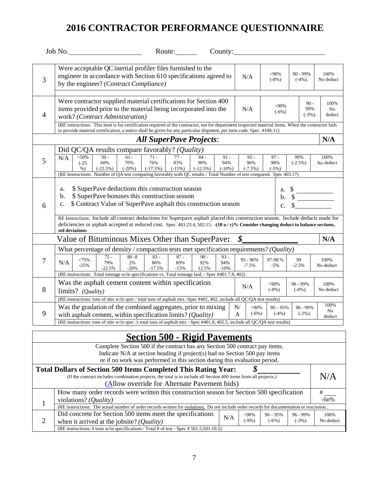|                |                                  | $\text{Job No.}$                |                             |                           |                                                                                                       | Route:                    |                                                                                                                                                                                                                                                                                                                                             |                            |                            |                 |                            |                            |                   |                      |
|----------------|----------------------------------|---------------------------------|-----------------------------|---------------------------|-------------------------------------------------------------------------------------------------------|---------------------------|---------------------------------------------------------------------------------------------------------------------------------------------------------------------------------------------------------------------------------------------------------------------------------------------------------------------------------------------|----------------------------|----------------------------|-----------------|----------------------------|----------------------------|-------------------|----------------------|
| 3              |                                  |                                 |                             |                           | Were acceptable QC inertial profiler files furnished to the<br>by the engineer? (Contract Compliance) |                           | engineer in accordance with Section 610 specifications agreed to                                                                                                                                                                                                                                                                            |                            | N/A                        |                 | <90%<br>$(-8%)$            | 90 - 99%<br>$(-4%)$ .      |                   | 100%<br>No deduct    |
| $\overline{4}$ |                                  | work? (Contract Administration) |                             |                           |                                                                                                       |                           | Were contractor supplied material certifications for Section 400<br>items provided prior to the material being incorporated into the<br>(RE instructions: This item is for certification required of the contractor, not for department inspected material items. When the contractor fails                                                 |                            | N/A                        |                 | <90%<br>$(-6%)$            | $90 -$<br>99%<br>$(-3%)$ . |                   | 100%<br>No<br>deduct |
|                |                                  |                                 |                             |                           |                                                                                                       |                           | to provide material certification, a notice shall be given for any particular shipment, per item code. Spec. #106.11)                                                                                                                                                                                                                       |                            |                            |                 |                            |                            |                   |                      |
|                |                                  |                                 |                             |                           |                                                                                                       |                           | <b>All SuperPave Projects:</b>                                                                                                                                                                                                                                                                                                              |                            |                            |                 |                            |                            |                   | N/A                  |
| 5              | N/A                              | $<$ 50%<br>$(-25)$<br>$\%$ )    | $50 -$<br>60%<br>$(-22.5%)$ | $61 -$<br>70%<br>$(-20%)$ | Did QC/QA results compare favorably? (Quality)<br>$71 -$<br>76%<br>$(-17.5%)$                         | $77 -$<br>83%<br>$(-15%)$ | $84 -$<br>90%<br>$(-12.5\%)$<br>(RE Instructions: Number of QA test comparing favorably with QC results / Total Number of test compared. Spec 403.17)                                                                                                                                                                                       | $91 -$<br>94%<br>$(-10\%)$ | $95 -$<br>96%<br>$(-7.5%)$ |                 | $97 -$<br>98%<br>$(-5%)$   | 99%<br>$(-2.5\%)$          | 100%<br>No deduct |                      |
| 6              | a.<br>b.<br>c.<br>std deviations |                                 |                             |                           | \$ SuperPave deductions this construction season<br>\$ SuperPave bonuses this construction season     |                           | \$ Contract Value of SuperPave asphalt this construction season<br>RE Instructions: Include all contract deductions for Superpave asphalt placed this construction season. Include deducts made for<br>deficiencies or asphalt accepted at reduced cost. Spec. 403.23.4, 502.15; -(10 a / c)% Consider changing deduct to balance sections, |                            |                            |                 | a.<br>b.<br>$\mathbf{c}$ . |                            |                   |                      |
|                |                                  |                                 |                             |                           |                                                                                                       |                           | Value of Bituminous Mixes Other than SuperPave:                                                                                                                                                                                                                                                                                             |                            | \$                         |                 |                            |                            |                   | N/A                  |
|                |                                  |                                 |                             |                           |                                                                                                       |                           | What percentage of density / compaction tests met specification requirements? (Quality)                                                                                                                                                                                                                                                     |                            |                            |                 |                            |                            |                   |                      |
| 7              | N/A                              | <75%<br>$-25%$                  | 75 -<br>79%<br>$-22.5%$     | $80 - 8$<br>2%<br>$-20%$  | $83 -$<br>86%<br>$-17.5%$                                                                             | $87 -$<br>89%<br>$-15%$   | $90 -$<br>92%<br>12.5%                                                                                                                                                                                                                                                                                                                      | $93 -$<br>94%<br>$-10%$    | 95 - 96%<br>$-7.5%$        |                 | 97-98%<br>$-5%$            | 99<br>$-2.5%$              | 100%<br>No deduct |                      |
| 8              |                                  | limits? (Quality)               |                             |                           | Was the asphalt cement content within specification                                                   |                           | (RE instructions: Total tonnage w/in specifications vs. Total tonnage laid. - Spec #401.7.8, 402)                                                                                                                                                                                                                                           |                            | N/A                        |                 | <90%<br>$(-8%)$            | $90 - 99\%$<br>$(-4%)$ .   |                   | 100%<br>No deduct    |
| 9              |                                  |                                 |                             |                           | with asphalt cement, within specification limits? $(Quality)$                                         |                           | (RE instructions: tons of mix w/in spec / total tons of asphalt mix -Spec #401, 402, include all QC/QA test results)<br>Was the gradation of the combined aggregates, prior to mixing<br>(RE instructions: tons of mix w/in spec /s total tons of asphalt mix - Spec #401.8, 402.5, include all QC/QA test results)                         |                            | N/<br>A                    | <90%<br>$(-6%)$ | $90 - 95%$<br>$(-4%)$      | 96 - 99%<br>$(-2%)$ .      |                   | 100%<br>No<br>deduct |
|                |                                  |                                 |                             |                           |                                                                                                       |                           |                                                                                                                                                                                                                                                                                                                                             |                            |                            |                 |                            |                            |                   |                      |
|                |                                  |                                 |                             |                           |                                                                                                       |                           | <b>Section 500 - Rigid Pavements</b><br>Complete Section 500 if the contract has any Section 500 contract pay items.<br>Indicate $N/A$ at section heading if project(s) had no Section 500 pay items<br>or if no work was performed in this section during this evaluation period.                                                          |                            |                            |                 |                            |                            |                   |                      |
|                |                                  |                                 |                             |                           |                                                                                                       |                           | <b>Total Dollars of Section 500 Items Completed This Rating Year:</b><br>(If the contract includes combination projects, the total is to include all Section 400 items from all projects.)<br>(Allow override for Alternate Pavement bids)                                                                                                  |                            |                            | \$              |                            |                            | N/A               |                      |

| а по отепесно год запешают а спонен опол |                                                                                                                                           |     |          |             |             |           |  |  |  |  |
|------------------------------------------|-------------------------------------------------------------------------------------------------------------------------------------------|-----|----------|-------------|-------------|-----------|--|--|--|--|
|                                          | How many order records were written this construction season for Section 500 specification                                                |     |          |             |             |           |  |  |  |  |
|                                          | violations? ( <i>Quality</i> )                                                                                                            |     |          |             |             | $-6n%$    |  |  |  |  |
|                                          | (RE instructions: The actual number of order records written for violations. Do not include order records for documentation or rescission |     |          |             |             |           |  |  |  |  |
|                                          | Did concrete for Section 500 items meet the specifications                                                                                | N/A | $<$ 90%  | $90 - 95\%$ | $96 - 99\%$ | 100%      |  |  |  |  |
|                                          | when it arrived at the jobsite? ( <i>Quality</i> )                                                                                        |     | $-9\%$ ) | $(-6%)$     | $(-3%)$ .   | No deduct |  |  |  |  |
|                                          | (RE instructions: # tests w/in specifications / Total # of test - Spec # 501.5,501.10.2)                                                  |     |          |             |             |           |  |  |  |  |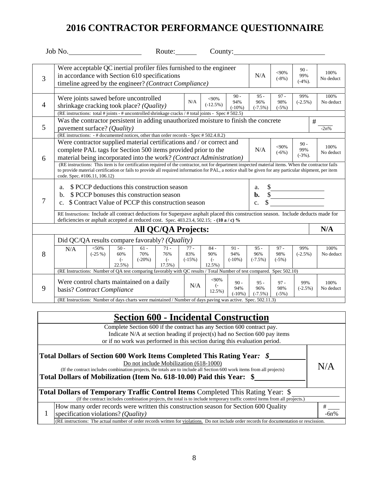|                | Job No.                                                                                                                                                                                                                                                                                                                                                                                                                                                                                                                        |                     |                                                                                                                                               |                            | Route: $\qquad \qquad$                           |                           | County:                                      |                            |                                        |                                                                                                                                                                                                                                                                                                                                                                                                                           |                            |                   |
|----------------|--------------------------------------------------------------------------------------------------------------------------------------------------------------------------------------------------------------------------------------------------------------------------------------------------------------------------------------------------------------------------------------------------------------------------------------------------------------------------------------------------------------------------------|---------------------|-----------------------------------------------------------------------------------------------------------------------------------------------|----------------------------|--------------------------------------------------|---------------------------|----------------------------------------------|----------------------------|----------------------------------------|---------------------------------------------------------------------------------------------------------------------------------------------------------------------------------------------------------------------------------------------------------------------------------------------------------------------------------------------------------------------------------------------------------------------------|----------------------------|-------------------|
| 3              | Were acceptable QC inertial profiler files furnished to the engineer<br>in accordance with Section 610 specifications<br>timeline agreed by the engineer? (Contract Compliance)                                                                                                                                                                                                                                                                                                                                                |                     |                                                                                                                                               |                            |                                                  |                           |                                              |                            | N/A                                    | $<$ 90%<br>$(-8%)$                                                                                                                                                                                                                                                                                                                                                                                                        | $90 -$<br>99%<br>$(-4%)$ . | 100%<br>No deduct |
| $\overline{4}$ | Were joints sawed before uncontrolled<br>shrinkage cracking took place? (Quality)<br>(RE instructions: total # joints - # uncontrolled shrinkage cracks / # total joints - Spec # 502.5)                                                                                                                                                                                                                                                                                                                                       |                     |                                                                                                                                               |                            |                                                  | N/A                       | $<$ 90%<br>$(-12.5%)$                        | $90 -$<br>94%<br>$(-10%)$  | $95 -$<br>96%<br>$(-7.5%)$             | $97 -$<br>98%<br>$(-5%)$                                                                                                                                                                                                                                                                                                                                                                                                  | 99%<br>$(-2.5%)$           | 100%<br>No deduct |
| 5              | Was the contractor persistent in adding unauthorized moisture to finish the concrete<br>pavement surface? (Quality)<br>(RE instructions: $-$ # documented notices, other than order records - Spec # 502.4.8.2)                                                                                                                                                                                                                                                                                                                |                     |                                                                                                                                               |                            |                                                  |                           |                                              |                            |                                        |                                                                                                                                                                                                                                                                                                                                                                                                                           | #                          | $-2n%$            |
| 6              | Were contractor supplied material certifications and / or correct and<br>complete PAL tags for Section 500 items provided prior to the<br>material being incorporated into the work? (Contract Administration)<br>(RE instructions: This item is for certification required of the contractor, not for department inspected material items. When the contractor fails<br>to provide material certification or fails to provide all required information for PAL, a notice shall be given for any particular shipment, per item |                     |                                                                                                                                               |                            |                                                  |                           |                                              |                            | N/A                                    | $<90\%$<br>$(-6%)$                                                                                                                                                                                                                                                                                                                                                                                                        | $90 -$<br>99%<br>$(-3%)$ . | 100%<br>No deduct |
| 7              | code. Spec. #106.11, 106.12)<br>a.<br>$\mathbf{b}$ .<br>$\mathbf{c}$ .                                                                                                                                                                                                                                                                                                                                                                                                                                                         |                     | \$ PCCP deductions this construction season<br>\$ PCCP bonuses this construction season<br>\$ Contract Value of PCCP this construction season |                            |                                                  |                           |                                              |                            | a.<br>$\mathbf{b}$ .<br>$\mathbf{c}$ . | $\sqrt{\frac{1}{1-\frac{1}{1-\frac{1}{1-\frac{1}{1-\frac{1}{1-\frac{1}{1-\frac{1}{1-\frac{1}{1-\frac{1}{1-\frac{1}{1-\frac{1}{1-\frac{1}{1-\frac{1}{1-\frac{1}{1-\frac{1}{1-\frac{1}{1-\frac{1}{1-\frac{1}{1-\frac{1}{1-\frac{1}{1-\frac{1}{1-\frac{1}{1-\frac{1}{1-\frac{1}{1-\frac{1}{1-\frac{1}{1-\frac{1}{1-\frac{1}{1-\frac{1}{1-\frac{1}{1-\frac{1}{1-\frac{1}{1-\frac{1}{1-\frac{1}{1-\frac{1}{1-\frac{1}{1-\frac$ |                            |                   |
|                | RE Instructions: Include all contract deductions for Superpave asphalt placed this construction season. Include deducts made for<br>deficiencies or asphalt accepted at reduced cost. Spec. 403.23.4, 502.15; - (10 a / c) %                                                                                                                                                                                                                                                                                                   |                     |                                                                                                                                               |                            |                                                  |                           |                                              |                            |                                        |                                                                                                                                                                                                                                                                                                                                                                                                                           |                            |                   |
|                |                                                                                                                                                                                                                                                                                                                                                                                                                                                                                                                                |                     |                                                                                                                                               |                            | All QC/QA Projects:                              |                           |                                              |                            |                                        |                                                                                                                                                                                                                                                                                                                                                                                                                           |                            | N/A               |
| 8              | Did QC/QA results compare favorably? (Quality)<br>N/A                                                                                                                                                                                                                                                                                                                                                                                                                                                                          | $<$ 50%<br>$(-25%)$ | $50 -$<br>60%<br>$\left( -\right)$<br>22.5%                                                                                                   | $61 -$<br>70%<br>$(-20\%)$ | $71 -$<br>76%<br>$\left( -\right)$<br>$17.5\%$ ) | $77 -$<br>83%<br>$(-15%)$ | $84 -$<br>90%<br>$\left( -\right)$<br>12.5%) | $91 -$<br>94%<br>$(-10\%)$ | $95 -$<br>96%<br>$(-7.5\%)$            | $97 -$<br>98%<br>$(-5%)$                                                                                                                                                                                                                                                                                                                                                                                                  | 99%<br>$(-2.5\%)$          | 100%<br>No deduct |
|                | (RE Instructions: Number of QA test comparing favorably with QC results / Total Number of test compared. Spec 502.10)                                                                                                                                                                                                                                                                                                                                                                                                          |                     |                                                                                                                                               |                            |                                                  |                           |                                              |                            |                                        |                                                                                                                                                                                                                                                                                                                                                                                                                           |                            |                   |
| 9              | Were control charts maintained on a daily<br>basis? Contract Compliance                                                                                                                                                                                                                                                                                                                                                                                                                                                        |                     |                                                                                                                                               |                            |                                                  | N/A                       | $<$ 90%<br>$\left( -\right)$<br>$12.5%$ )    | $90 -$<br>94%<br>$(-10\%)$ | $95 -$<br>96%<br>$(-7.5\%)$            | $97 -$<br>98%<br>$(-5%)$                                                                                                                                                                                                                                                                                                                                                                                                  | 99%<br>$(-2.5%)$           | 100%<br>No deduct |
|                | (RE Instructions: Number of days charts were maintained / Number of days paving was active. Spec. 502.11.3)                                                                                                                                                                                                                                                                                                                                                                                                                    |                     |                                                                                                                                               |                            |                                                  |                           |                                              |                            |                                        |                                                                                                                                                                                                                                                                                                                                                                                                                           |                            |                   |

| <b>Section 600 - Incidental Construction</b>                                                                                                                                                                                                                                                                         |     |
|----------------------------------------------------------------------------------------------------------------------------------------------------------------------------------------------------------------------------------------------------------------------------------------------------------------------|-----|
| Complete Section 600 if the contract has any Section 600 contract pay.<br>Indicate N/A at section heading if project(s) had no Section 600 pay items<br>or if no work was performed in this section during this evaluation period.                                                                                   |     |
| Total Dollars of Section 600 Work Items Completed This Rating Year: \$<br>Do not include Mobilization (618-1000)<br>(If the contract includes combination projects, the totals are to include all Section 600 work items from all projects)<br>Total Dollars of Mobilization (Item No. 618-10.00) Paid this Year: \$ | N/A |
| <b>Total Dollars of Temporary Traffic Control Items Completed This Rating Year: \$</b><br>(If the contract includes combination projects, the total is to include temporary traffic control items from all projects.)                                                                                                |     |
| How many order records were written this construction season for Section 600 Quality<br>specification violations? (Quality)                                                                                                                                                                                          | #   |
| (RE instructions: The actual number of order records written for violations. Do not include order records for documentation or rescission.                                                                                                                                                                           |     |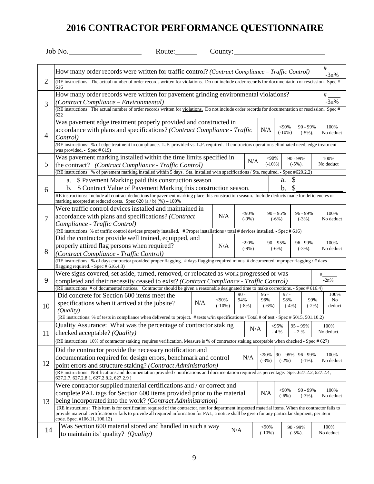|                | Job No.<br>Route: $\qquad \qquad$                                                                                                                                                                                                                                                                                                            |                      | County: $\frac{1}{2}$    |                      |                       |                                 |                         |                    |                      |
|----------------|----------------------------------------------------------------------------------------------------------------------------------------------------------------------------------------------------------------------------------------------------------------------------------------------------------------------------------------------|----------------------|--------------------------|----------------------|-----------------------|---------------------------------|-------------------------|--------------------|----------------------|
|                | How many order records were written for traffic control? (Contract Compliance – Traffic Control)                                                                                                                                                                                                                                             |                      |                          |                      |                       |                                 |                         | #<br>$-3n%$        |                      |
| $\overline{2}$ | (RE instructions: The actual number of order records written for violations. Do not include order records for documentation or rescission. Spec #<br>616                                                                                                                                                                                     |                      |                          |                      |                       |                                 |                         |                    |                      |
| 3              | How many order records were written for pavement grinding environmental violations?<br>#<br>$-3n%$<br>(Contract Compliance - Environmental)<br>(RE instructions: The actual number of order records written for violations. Do not include order records for documentation or rescission. Spec #                                             |                      |                          |                      |                       |                                 |                         |                    |                      |
|                | 622<br>Was pavement edge treatment properly provided and constructed in                                                                                                                                                                                                                                                                      |                      |                          |                      |                       | $<$ 90%                         | 90 - 99%                | 100%               |                      |
| $\overline{4}$ | accordance with plans and specifications? (Contract Compliance - Traffic<br>Control)<br>(RE instructions: % of edge treatment in compliance. L.F. provided vs. L.F. required. If contractors operations eliminated need, edge treatment                                                                                                      |                      |                          | N/A                  |                       | $(-10\%)$                       | $(-5\%)$ .              | No deduct          |                      |
| 5              | was provided. - Spec # 619)<br>Was pavement marking installed within the time limits specified in<br>the contract? (Contract Compliance - Traffic Control)                                                                                                                                                                                   |                      | N/A                      |                      | $<$ 90%<br>$(-10\%)$  | $90 - 99\%$<br>$(-5\%)$ .       |                         | 100%<br>No deduct  |                      |
|                | (RE instructions: % of pavement marking installed within 5 days. Sta. installed w/in specifications / Sta. required. - Spec #620.2.2)                                                                                                                                                                                                        |                      |                          |                      |                       |                                 |                         |                    |                      |
| 6              | a. \$ Pavement Marking paid this construction season<br>b. \$ Contract Value of Pavement Marking this construction season.                                                                                                                                                                                                                   |                      |                          |                      |                       | \$<br>a.<br>$\mathcal{S}$<br>b. |                         |                    |                      |
|                | RE instructions: Include all contract deductions for pavement marking place this construction season. Include deducts made for deficiencies or<br>marking accepted at reduced costs. Spec $620$ (a / b) (%) $-100\%$                                                                                                                         |                      |                          |                      |                       |                                 |                         |                    |                      |
| $\overline{7}$ | Were traffic control devices installed and maintained in<br>96 - 99%<br>100%<br><90%<br>$90 - 95%$<br>accordance with plans and specifications? (Contract<br>N/A<br>$(-9%)$<br>$(-3%)$ .<br>No deduct<br>$(-6%)$                                                                                                                             |                      |                          |                      |                       |                                 |                         |                    |                      |
|                | Compliance - Traffic Control)<br>(RE instructions: % of traffic control devices properly installed. # Proper installations / total # devices installed. - Spec # 616)                                                                                                                                                                        |                      |                          |                      |                       |                                 |                         |                    |                      |
| 8              | Did the contractor provide well trained, equipped, and<br>properly attired flag persons when required?                                                                                                                                                                                                                                       | N/A                  | $<$ 90%<br>$(-9%)$       |                      | $90 - 95%$<br>$(-6%)$ |                                 | 96 - 99%<br>$(-3%)$ .   | 100%<br>No deduct  |                      |
|                | (Contract Compliance - Traffic Control)<br>(RE instructions: % of days contractor provided proper flagging. # days flagging required minus # documented improper flagging / # days<br>flagging required. - Spec # 616.4.3)                                                                                                                   |                      |                          |                      |                       |                                 |                         |                    |                      |
| 9              | Were signs covered, set aside, turned, removed, or relocated as work progressed or was<br>completed and their necessity ceased to exist? (Contract Compliance - Traffic Control)                                                                                                                                                             |                      |                          |                      |                       |                                 |                         | #<br>$-2n%$        |                      |
| 10             | (RE instructions: # of documented notices. Contractor should be given a reasonable designated time to make corrections. - Spec # 616.4)<br>Did concrete for Section 600 items meet the<br>N/A<br>specifications when it arrived at the jobsite?<br>(Quality)                                                                                 | $<$ 90%<br>$(-10\%)$ | $90 -$<br>94%<br>$(-8%)$ | $95 -$<br>96%        | $(-6%)$               | $97 -$<br>98%<br>$(-4%)$        |                         | 99%<br>$(-2%)$     | 100%<br>No<br>deduct |
|                | (RE instructions: % of tests in compliance when delivered to project. # tests w/in specifications / Total # of test - Spec # 5015, 501.10.2)                                                                                                                                                                                                 |                      |                          |                      |                       |                                 |                         |                    |                      |
| 11             | Quality Assurance: What was the percentage of contractor staking<br>checked acceptable? ( <i>Quality</i> )                                                                                                                                                                                                                                   |                      |                          | N/A                  | <95%<br>$-4%$         |                                 | $95 - 99\%$<br>$-2\%$ . | 100%<br>No deduct. |                      |
|                | (RE instructions: 10% of contractor staking requires verification, Measure is % of contractor staking acceptable when checked - Spec # 627)                                                                                                                                                                                                  |                      |                          |                      |                       |                                 |                         |                    |                      |
| 12             | Did the contractor provide the necessary notification and<br>documentation required for design errors, benchmark and control<br>point errors and structure staking? (Contract Administration)                                                                                                                                                |                      | N/A                      | <90%<br>$(-3%)$      |                       | $90 - 95%$<br>$(-2%)$           | 96 - 99%<br>$(-1\%)$ .  | 100%<br>No deduct  |                      |
|                | (RE instructions: Notifications and documentation provided / notifications and documentation required as percentage. Spec.627.2.2, 627.2.4,<br>627.2.7, 627.2.8.1, 627.2.8.2, 627.2.9)                                                                                                                                                       |                      |                          |                      |                       |                                 |                         |                    |                      |
| 13             | Were contractor supplied material certifications and / or correct and<br>complete PAL tags for Section 600 items provided prior to the material<br>being incorporated into the work? (Contract Administration)                                                                                                                               |                      |                          | N/A                  |                       | $<$ 90%<br>$(-6%)$              | 90 - 99%<br>$(-3%)$ .   | 100%<br>No deduct  |                      |
|                | (RE instructions: This item is for certification required of the contractor, not for department inspected material items. When the contractor fails to<br>provide material certification or fails to provide all required information for PAL, a notice shall be given for any particular shipment, per item<br>code. Spec. #106.11, 106.12) |                      |                          |                      |                       |                                 |                         |                    |                      |
| 14             | Was Section 600 material stored and handled in such a way<br>to maintain its' quality? $(Quality)$                                                                                                                                                                                                                                           |                      | N/A                      | $<$ 90%<br>$(-10\%)$ |                       | 90 - 99%<br>$(-5\%)$ .          |                         | 100%<br>No deduct  |                      |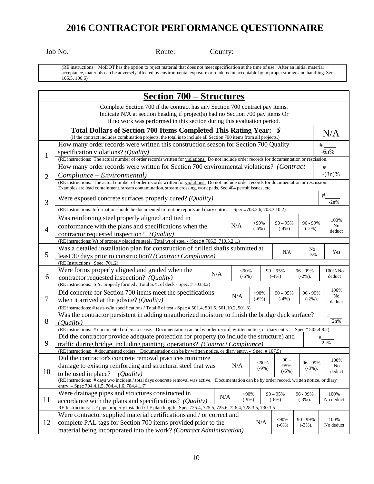Job No. **Route:** Route: County: County:

(RE instructions: MoDOT has the option to reject material that does not meet specification at the time of use. After an initial material acceptance, materials can be adversely affected by environmental exposure or rendered unacceptable by improper storage and handling. Sec # 106.5, 106.6)

|                                                                                                                                                                                                                                          | <b>Section 700 – Structures</b>                                                                                                                                                                                                                                                        |  |                        |  |  |                                             |                       |           |                        |                      |  |
|------------------------------------------------------------------------------------------------------------------------------------------------------------------------------------------------------------------------------------------|----------------------------------------------------------------------------------------------------------------------------------------------------------------------------------------------------------------------------------------------------------------------------------------|--|------------------------|--|--|---------------------------------------------|-----------------------|-----------|------------------------|----------------------|--|
| Complete Section 700 if the contract has any Section 700 contract pay items.<br>Indicate N/A at section heading if project(s) had no Section 700 pay items Or<br>if no work was performed in this section during this evaluation period. |                                                                                                                                                                                                                                                                                        |  |                        |  |  |                                             |                       |           |                        |                      |  |
| Total Dollars of Section 700 Items Completed This Rating Year: \$<br>N/A<br>(If the contract includes combination projects, the total is to include all Section 700 items from all projects.)                                            |                                                                                                                                                                                                                                                                                        |  |                        |  |  |                                             |                       |           |                        |                      |  |
| How many order records were written this construction season for Section 700 Quality<br>specification violations? ( <i>Quality</i> )<br>1                                                                                                |                                                                                                                                                                                                                                                                                        |  |                        |  |  |                                             |                       |           | #<br>$-6n%$            |                      |  |
| $\overline{2}$                                                                                                                                                                                                                           | (RE instructions: The actual number of order records written for violations. Do not include order records for documentation or rescission.<br>How many order records were written for Section 700 environmental violations? (Contract<br>#<br>$-(3n)\%$<br>Compliance – Environmental) |  |                        |  |  |                                             |                       |           |                        |                      |  |
|                                                                                                                                                                                                                                          | (RE instructions: The actual number of order records written for violations. Do not include order records for documentation or rescission.<br>Examples are lead containment, stream contamination, stream crossing, work pads, Sec 404 permit issues, etc.                             |  |                        |  |  |                                             |                       |           |                        |                      |  |
| 3                                                                                                                                                                                                                                        | Were exposed concrete surfaces properly cured? ( <i>Quality</i> )                                                                                                                                                                                                                      |  |                        |  |  |                                             |                       |           | #<br>$-2n%$            |                      |  |
|                                                                                                                                                                                                                                          | (RE instructions: Information should be documented in routine reports and diary entries. - Spec #703.3.6, 703.3.10.2)                                                                                                                                                                  |  |                        |  |  |                                             |                       |           |                        |                      |  |
| $\overline{4}$                                                                                                                                                                                                                           | Was reinforcing steel properly aligned and tied in<br>N/A<br>conformance with the plans and specifications when the                                                                                                                                                                    |  |                        |  |  | $<$ 90%<br>$(-6%)$                          | $90 - 95%$<br>$(-4%)$ |           | 96 - 99%<br>$(-2\%)$ . | 100%<br>No           |  |
|                                                                                                                                                                                                                                          | contractor requested inspection? (Quality)                                                                                                                                                                                                                                             |  |                        |  |  |                                             |                       |           |                        | deduct               |  |
|                                                                                                                                                                                                                                          | (RE instructions: Wt of properly placed re steel / Total wt of steel - (Spec # 706.3, 710.3.2.1,)                                                                                                                                                                                      |  |                        |  |  |                                             |                       |           |                        |                      |  |
| 5                                                                                                                                                                                                                                        | Was a detailed installation plan for construction of drilled shafts submitted at<br>N/A<br>least 30 days prior to construction? (Contract Compliance)                                                                                                                                  |  |                        |  |  |                                             |                       |           | No<br>$-5%$            | Yes                  |  |
|                                                                                                                                                                                                                                          | (RE Instructions: Spec. 701.2)                                                                                                                                                                                                                                                         |  |                        |  |  |                                             |                       |           |                        |                      |  |
|                                                                                                                                                                                                                                          | Were forms properly aligned and graded when the                                                                                                                                                                                                                                        |  | $<$ 90%<br>$90 - 95%$  |  |  |                                             | 96 - 99%              | 100% No   |                        |                      |  |
| 6                                                                                                                                                                                                                                        | N/A<br>$(-6%)$<br>$(-4%)$<br>$(-2\%)$ .<br>contractor requested inspection? (Quality)                                                                                                                                                                                                  |  |                        |  |  |                                             |                       |           |                        | deduct               |  |
|                                                                                                                                                                                                                                          | (RE instructions: S.Y. properly formed / Total S.Y. of deck - Spec. #703.3.2)                                                                                                                                                                                                          |  |                        |  |  |                                             |                       |           |                        |                      |  |
| 7                                                                                                                                                                                                                                        | Did concrete for Section 700 items meet the specifications<br>N/A<br>when it arrived at the jobsite? ( <i>Quality</i> )                                                                                                                                                                |  |                        |  |  | $<$ 90%<br>$90 - 95%$<br>$(-6%)$<br>$(-4%)$ |                       |           | 96 - 99%<br>$(-2\%)$ . | 100%<br>No<br>deduct |  |
|                                                                                                                                                                                                                                          | (RE instructions: # tests w/in specifications / Total # of test - Spec # 501.4, 501.5, 501.10.2, 501.8)                                                                                                                                                                                |  |                        |  |  |                                             |                       |           |                        |                      |  |
| 8                                                                                                                                                                                                                                        | Was the contractor persistent in adding unauthorized moisture to finish the bridge deck surface?<br>#<br>2n%<br>(Quality)                                                                                                                                                              |  |                        |  |  |                                             |                       |           |                        |                      |  |
|                                                                                                                                                                                                                                          | (RE instructions: # documented orders to cease. Documentation can be by order record, written notice, or diary entry. - Spec # 502.4.8.2)                                                                                                                                              |  |                        |  |  |                                             |                       |           |                        |                      |  |
| 9                                                                                                                                                                                                                                        | Did the contractor provide adequate protection for property (to include the structure) and<br>traffic during bridge, including painting, operations? (Contract Compliance)                                                                                                             |  |                        |  |  |                                             |                       |           |                        | #<br>2n%             |  |
|                                                                                                                                                                                                                                          | (RE instructions: #documented orders. Documentation can be by written notice, or diary entry. - Spec. #107.5)                                                                                                                                                                          |  |                        |  |  |                                             |                       |           |                        |                      |  |
|                                                                                                                                                                                                                                          | Did the contractor's concrete removal practices minimize<br>$90 -$<br>$<90\%$                                                                                                                                                                                                          |  |                        |  |  |                                             | 96 - 99%              | 100%      |                        |                      |  |
| 10                                                                                                                                                                                                                                       | damage to existing reinforcing and structural steel that was<br>N/A<br>95%<br>$(-9%)$<br>$(-6%)$<br>to be used in place?<br>(Quality)                                                                                                                                                  |  |                        |  |  |                                             |                       | $(-3%)$ . | No<br>deduct           |                      |  |
|                                                                                                                                                                                                                                          | (RE instructions: # days w/o incident / total days concrete removal was active. Documentation can be by order record, written notice, or diary<br>entry. - Spec 704.4.1.5, 704.4.1.6, 704.4.1.7)                                                                                       |  |                        |  |  |                                             |                       |           |                        |                      |  |
| 11                                                                                                                                                                                                                                       | Were drainage pipes and structures constructed in<br>accordance with the plans and specifications? (Quality)                                                                                                                                                                           |  | <90%<br>N/A<br>$(-9%)$ |  |  |                                             | $90 - 95%$<br>$(-6%)$ |           | 96 - 99%<br>$(-3%)$ .  | 100%<br>No deduct    |  |
|                                                                                                                                                                                                                                          | RE Instructions: LF pipe properly installed / LF plan length. Spec 725.4, 725.5, 725.6, 726.4, 728.3.5, 730.3.5                                                                                                                                                                        |  |                        |  |  |                                             |                       |           |                        |                      |  |
|                                                                                                                                                                                                                                          | Were contractor supplied material certifications and / or correct and                                                                                                                                                                                                                  |  |                        |  |  |                                             |                       |           |                        |                      |  |
| 12                                                                                                                                                                                                                                       | 90 - 99%<br><90%<br>complete PAL tags for Section 700 items provided prior to the<br>N/A<br>$(-6%)$<br>$(-3%)$ .                                                                                                                                                                       |  |                        |  |  |                                             |                       |           |                        | 100%<br>No deduct    |  |
|                                                                                                                                                                                                                                          | material being incorporated into the work? (Contract Administration)                                                                                                                                                                                                                   |  |                        |  |  |                                             |                       |           |                        |                      |  |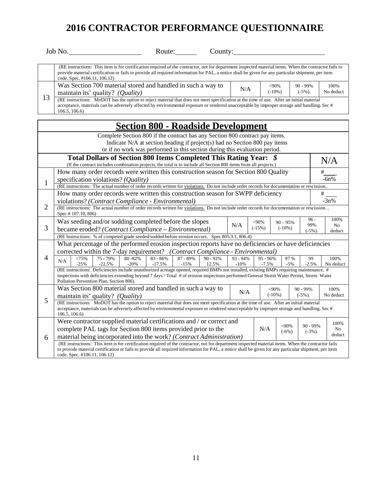|    | Job No.<br>Route:<br>County:                                                                                                                                                                                                                                                                                                                 |     |                      |                           |                    |  |  |  |  |
|----|----------------------------------------------------------------------------------------------------------------------------------------------------------------------------------------------------------------------------------------------------------------------------------------------------------------------------------------------|-----|----------------------|---------------------------|--------------------|--|--|--|--|
|    | (RE instructions: This item is for certification required of the contractor, not for department inspected material items. When the contractor fails to<br>provide material certification or fails to provide all required information for PAL, a notice shall be given for any particular shipment, per item<br>code. Spec. #106.11, 106.12) |     |                      |                           |                    |  |  |  |  |
| 13 | Was Section 700 material stored and handled in such a way to<br>maintain its' quality? $(Quality)$                                                                                                                                                                                                                                           | N/A | $<90\%$<br>$(-10\%)$ | $90 - 99\%$<br>$(-5\%)$ . | 100\%<br>No deduct |  |  |  |  |
|    | (RE instructions: MoDOT has the option to reject material that does not meet specification at the time of use. After an initial material<br>acceptance, materials can be adversely affected by environmental exposure or rendered unacceptable by improper storage and handling. Sec #<br>106.5, 106.6                                       |     |                      |                           |                    |  |  |  |  |
|    | $\sim$<br><u><math>\sim</math> <math>\sim</math> <math>\sim</math></u><br>. .                                                                                                                                                                                                                                                                |     |                      |                           |                    |  |  |  |  |

| <b>Section 800 - Roadside Development</b>                                                                                                                                                                                                |                                                                                                                                                                                                                                                                                        |            |                                      |            |            |                          |                |  |  |  |
|------------------------------------------------------------------------------------------------------------------------------------------------------------------------------------------------------------------------------------------|----------------------------------------------------------------------------------------------------------------------------------------------------------------------------------------------------------------------------------------------------------------------------------------|------------|--------------------------------------|------------|------------|--------------------------|----------------|--|--|--|
| Complete Section 800 if the contract has any Section 800 contract pay items.<br>Indicate N/A at section heading if project(s) had no Section 800 pay items<br>or if no work was performed in this section during this evaluation period. |                                                                                                                                                                                                                                                                                        |            |                                      |            |            |                          |                |  |  |  |
|                                                                                                                                                                                                                                          | Total Dollars of Section 800 Items Completed This Rating Year: \$<br>N/A<br>(If the contract includes combination projects, the total is to include all Section 800 items from all projects.)                                                                                          |            |                                      |            |            |                          |                |  |  |  |
|                                                                                                                                                                                                                                          | How many order records were written this construction season for Section 800 Quality<br>specification violations? (Quality)                                                                                                                                                            |            |                                      |            |            |                          | #<br>$-6n%$    |  |  |  |
| $\mathbf{1}$<br>(RE instructions: The actual number of order records written for violations. Do not include order records for documentation or rescission                                                                                |                                                                                                                                                                                                                                                                                        |            |                                      |            |            |                          |                |  |  |  |
|                                                                                                                                                                                                                                          | How many order records were written this construction season for SWPP deficiency                                                                                                                                                                                                       |            |                                      |            |            |                          |                |  |  |  |
|                                                                                                                                                                                                                                          | $-3n%$<br>violations? (Contract Compliance - Environmental)                                                                                                                                                                                                                            |            |                                      |            |            |                          |                |  |  |  |
| $\overline{2}$                                                                                                                                                                                                                           | (RE instructions: The actual number of order records written for violations. Do not include order records for documentation or rescission.,<br>Spec #107.10, 806)                                                                                                                      |            |                                      |            |            |                          |                |  |  |  |
|                                                                                                                                                                                                                                          | Was seeding and/or sodding completed before the slopes                                                                                                                                                                                                                                 | N/A        | $<$ 90%                              | $90 - 95%$ |            | $96 -$<br>99%            | 100%           |  |  |  |
| 3                                                                                                                                                                                                                                        | became eroded? (Contract Compliance – Environmental)                                                                                                                                                                                                                                   |            | $(-15%)$                             | $(-10\%)$  | $(-5\%)$ . | N <sub>0</sub><br>deduct |                |  |  |  |
|                                                                                                                                                                                                                                          | (RE Instructions: % of competed grade seeded/sodded before erosion occurs. Spec 805.3.1, 806.4)                                                                                                                                                                                        |            |                                      |            |            |                          |                |  |  |  |
|                                                                                                                                                                                                                                          | What percentage of the performed erosion inspection reports have no deficiencies or have deficiencies                                                                                                                                                                                  |            |                                      |            |            |                          |                |  |  |  |
|                                                                                                                                                                                                                                          | corrected within the 7-day requirement? (Contract Compliance - Environmental)                                                                                                                                                                                                          |            |                                      |            |            |                          |                |  |  |  |
| $\overline{4}$                                                                                                                                                                                                                           | $90 - 92%$<br>75 - 79%<br>$80 - 82\%$<br>$83 - 86%$<br>87 - 89%<br><75%<br>N/A                                                                                                                                                                                                         | $93 - 94%$ | $95 - 96%$                           |            | 97 %       | 99                       | 100%           |  |  |  |
|                                                                                                                                                                                                                                          | $-20%$<br>$-25%$<br>$-22.5%$<br>$-17.5%$<br>$-15%$<br>12.5%<br>$-10%$<br>$-7.5%$<br>$-5%$<br>$-2.5%$<br>No deduct<br>(RE instructions: Deficiencies include unauthorized acreage opened, required BMPs not installed, existing BMPs requiring maintenance, #                           |            |                                      |            |            |                          |                |  |  |  |
|                                                                                                                                                                                                                                          | inspections with deficiencies extending beyond 7 days / Total # of erosion inspections performed General Storm Water Permit, Storm Water                                                                                                                                               |            |                                      |            |            |                          |                |  |  |  |
|                                                                                                                                                                                                                                          | Pollution Prevention Plan, Section 806).                                                                                                                                                                                                                                               |            |                                      |            |            |                          |                |  |  |  |
|                                                                                                                                                                                                                                          | Was Section 800 material stored and handled in such a way to                                                                                                                                                                                                                           | N/A        |                                      | $<90\%$    |            | $90 - 99\%$              | 100%           |  |  |  |
| 5                                                                                                                                                                                                                                        | maintain its' quality? (Quality)                                                                                                                                                                                                                                                       |            | $(-10\%)$<br>No deduct<br>$(-5\%)$ . |            |            |                          |                |  |  |  |
|                                                                                                                                                                                                                                          | (RE instructions: MoDOT has the option to reject material that does not meet specification at the time of use. After an initial material<br>acceptance, materials can be adversely affected by environmental exposure or rendered unacceptable by improper storage and handling. Sec # |            |                                      |            |            |                          |                |  |  |  |
|                                                                                                                                                                                                                                          | 106.5, 106.6                                                                                                                                                                                                                                                                           |            |                                      |            |            |                          |                |  |  |  |
|                                                                                                                                                                                                                                          | Were contractor supplied material certifications and / or correct and                                                                                                                                                                                                                  |            |                                      |            | 90 - 99%   | 100%                     |                |  |  |  |
|                                                                                                                                                                                                                                          | $<$ 90%<br>complete PAL tags for Section 800 items provided prior to the<br>N/A<br>$(-6%)$                                                                                                                                                                                             |            |                                      |            |            |                          | N <sub>o</sub> |  |  |  |
| 6                                                                                                                                                                                                                                        | $(-3%)$ .<br>material being incorporated into the work? (Contract Administration)                                                                                                                                                                                                      |            |                                      |            |            |                          |                |  |  |  |
|                                                                                                                                                                                                                                          | (RE instructions: This item is for certification required of the contractor, not for department inspected material items. When the contractor fails                                                                                                                                    |            |                                      |            |            |                          |                |  |  |  |
| to provide material certification or fails to provide all required information for PAL, a notice shall be given for any particular shipment, per item<br>code. Spec. #106.11, 106.12)                                                    |                                                                                                                                                                                                                                                                                        |            |                                      |            |            |                          |                |  |  |  |
|                                                                                                                                                                                                                                          |                                                                                                                                                                                                                                                                                        |            |                                      |            |            |                          |                |  |  |  |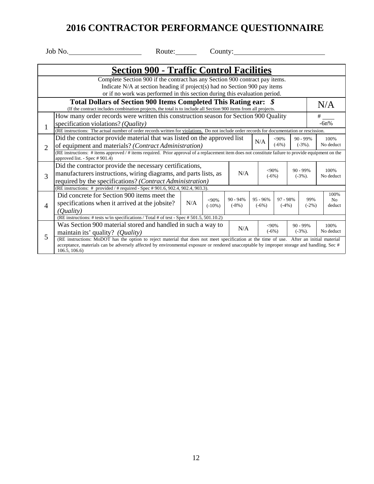Job No. 2008 Route: County: County:

| <b>Section 900 - Traffic Control Facilities</b>                                                                  |                                                                                                                                                                                      |                                                                                                                                              |           |            |             |                                                |             |             |                   |  |
|------------------------------------------------------------------------------------------------------------------|--------------------------------------------------------------------------------------------------------------------------------------------------------------------------------------|----------------------------------------------------------------------------------------------------------------------------------------------|-----------|------------|-------------|------------------------------------------------|-------------|-------------|-------------------|--|
| Complete Section 900 if the contract has any Section 900 contract pay items.                                     |                                                                                                                                                                                      |                                                                                                                                              |           |            |             |                                                |             |             |                   |  |
| Indicate N/A at section heading if project(s) had no Section 900 pay items                                       |                                                                                                                                                                                      |                                                                                                                                              |           |            |             |                                                |             |             |                   |  |
|                                                                                                                  | or if no work was performed in this section during this evaluation period.                                                                                                           |                                                                                                                                              |           |            |             |                                                |             |             |                   |  |
| Total Dollars of Section 900 Items Completed This Rating ear: \$<br>N/A                                          |                                                                                                                                                                                      |                                                                                                                                              |           |            |             |                                                |             |             |                   |  |
| (If the contract includes combination projects, the total is to include all Section 900 items from all projects. |                                                                                                                                                                                      |                                                                                                                                              |           |            |             |                                                |             |             |                   |  |
| How many order records were written this construction season for Section 900 Quality                             |                                                                                                                                                                                      |                                                                                                                                              |           |            |             |                                                |             | #           |                   |  |
| $\mathbf{1}$                                                                                                     | specification violations? ( <i>Quality</i> )                                                                                                                                         |                                                                                                                                              |           |            |             |                                                |             |             | $-6n%$            |  |
|                                                                                                                  | (RE instructions: The actual number of order records written for violations. Do not include order records for documentation or rescission.                                           |                                                                                                                                              |           |            |             |                                                |             |             |                   |  |
|                                                                                                                  | Did the contractor provide material that was listed on the approved list                                                                                                             |                                                                                                                                              |           |            | N/A         | $<$ 90%                                        |             | $90 - 99\%$ | 100%              |  |
| $\overline{2}$                                                                                                   | $(-6%)$<br>$(-3%)$ .<br>of equipment and materials? (Contract Administration)                                                                                                        |                                                                                                                                              |           |            |             |                                                |             | No deduct   |                   |  |
|                                                                                                                  | (RE instructions: # items approved /# items required. Prior approval of a replacement item does not constitute failure to provide equipment on the<br>approved list. - Spec # 901.4) |                                                                                                                                              |           |            |             |                                                |             |             |                   |  |
|                                                                                                                  | Did the contractor provide the necessary certifications,                                                                                                                             |                                                                                                                                              |           |            |             |                                                |             |             |                   |  |
|                                                                                                                  | manufacturers instructions, wiring diagrams, and parts lists, as                                                                                                                     |                                                                                                                                              |           | N/A        | $<90\%$     |                                                | $90 - 99\%$ |             | 100%              |  |
| 3                                                                                                                |                                                                                                                                                                                      |                                                                                                                                              |           |            |             | $(-6%)$                                        |             | $(-3%)$ .   | No deduct         |  |
|                                                                                                                  |                                                                                                                                                                                      | required by the specifications? (Contract Administration)<br>(RE instructions: # provided / # required - Spec # 901.6, 902.4, 902.4, 903.3). |           |            |             |                                                |             |             |                   |  |
|                                                                                                                  | Did concrete for Section 900 items meet the                                                                                                                                          |                                                                                                                                              |           |            |             |                                                |             |             | 100%              |  |
|                                                                                                                  | specifications when it arrived at the jobsite?                                                                                                                                       | N/A                                                                                                                                          | $<$ 90%   | $90 - 94%$ | $95 - 96\%$ | 97 - 98%<br>$(-4%)$                            |             | 99%         | N <sub>o</sub>    |  |
| $\overline{4}$                                                                                                   | ( <i>Quality</i> )                                                                                                                                                                   |                                                                                                                                              | $(-10\%)$ | $(-8%)$    | $(-6%)$     |                                                |             | $(-2%)$     | deduct            |  |
|                                                                                                                  | (RE instructions: # tests w/in specifications / Total # of test - Spec # 501.5, 501.10.2)                                                                                            |                                                                                                                                              |           |            |             |                                                |             |             |                   |  |
|                                                                                                                  | Was Section 900 material stored and handled in such a way to                                                                                                                         |                                                                                                                                              |           |            |             | $<90\%$<br>$90 - 99\%$<br>$(-6%)$<br>$(-3%)$ . |             |             | 100%<br>No deduct |  |
| 5                                                                                                                | maintain its' quality? $(Quality)$                                                                                                                                                   |                                                                                                                                              |           | N/A        |             |                                                |             |             |                   |  |
|                                                                                                                  | (RE instructions: MoDOT has the option to reject material that does not meet specification at the time of use. After an initial material                                             |                                                                                                                                              |           |            |             |                                                |             |             |                   |  |
|                                                                                                                  | acceptance, materials can be adversely affected by environmental exposure or rendered unacceptable by improper storage and handling. Sec #                                           |                                                                                                                                              |           |            |             |                                                |             |             |                   |  |
|                                                                                                                  | 106.5, 106.6                                                                                                                                                                         |                                                                                                                                              |           |            |             |                                                |             |             |                   |  |